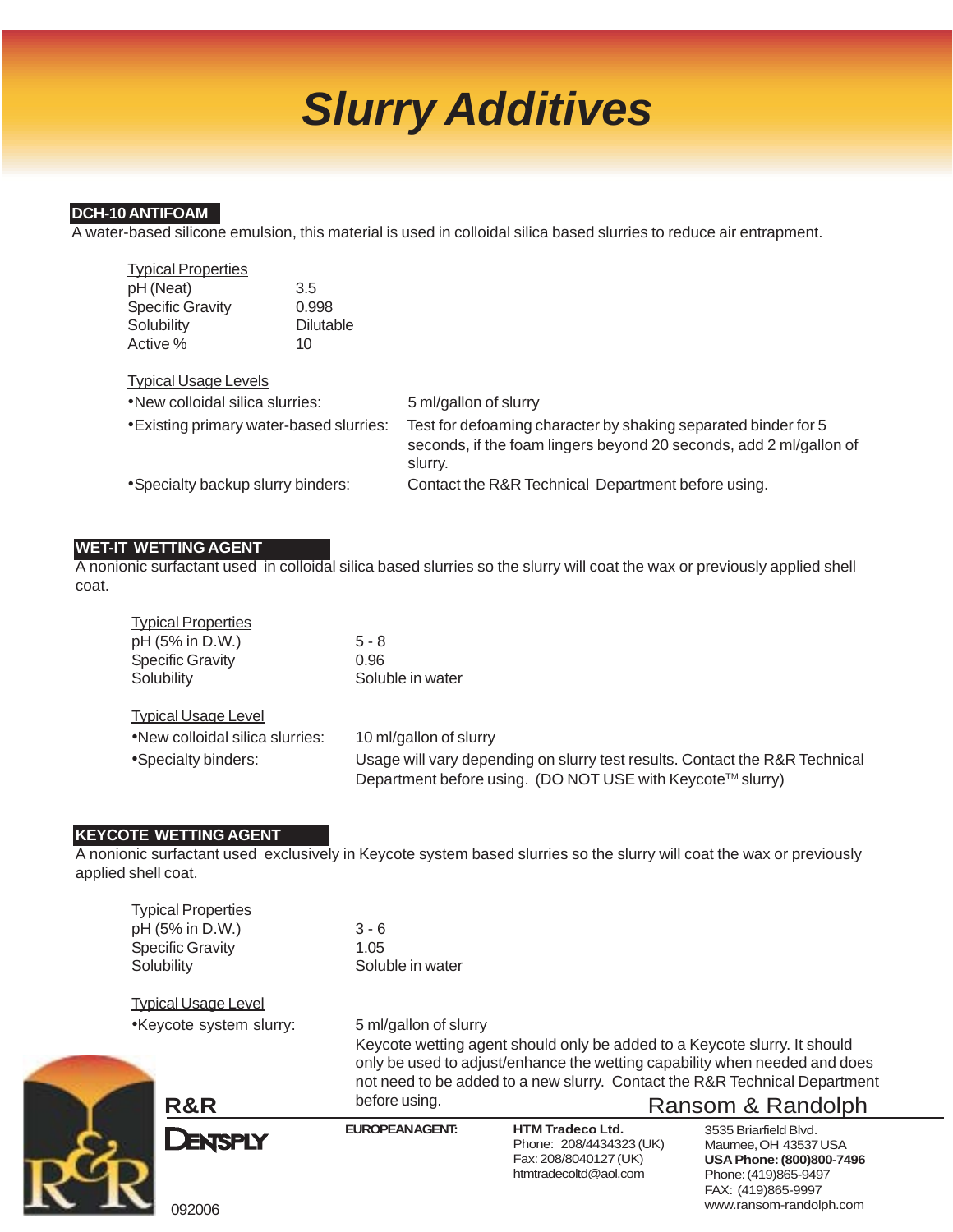# *Slurry Additives*

### **DCH-10 ANTIFOAM**

A water-based silicone emulsion, this material is used in colloidal silica based slurries to reduce air entrapment.

| pH (Neat)<br>3.5                                                                                                                                                                            |  |
|---------------------------------------------------------------------------------------------------------------------------------------------------------------------------------------------|--|
| <b>Specific Gravity</b><br>0.998                                                                                                                                                            |  |
| Solubility<br><b>Dilutable</b>                                                                                                                                                              |  |
| Active %<br>10                                                                                                                                                                              |  |
|                                                                                                                                                                                             |  |
| <b>Typical Usage Levels</b>                                                                                                                                                                 |  |
| .New colloidal silica slurries:<br>5 ml/gallon of slurry                                                                                                                                    |  |
| • Existing primary water-based slurries:<br>Test for defoaming character by shaking separated binder for 5<br>seconds, if the foam lingers beyond 20 seconds, add 2 ml/gallon of<br>slurry. |  |
| • Specialty backup slurry binders:<br>Contact the R&R Technical Department before using.                                                                                                    |  |

### **WET-IT WETTING AGENT**

A nonionic surfactant used in colloidal silica based slurries so the slurry will coat the wax or previously applied shell coat.

| $5 - 8$                                                                                                                                   |
|-------------------------------------------------------------------------------------------------------------------------------------------|
| 0.96                                                                                                                                      |
| Soluble in water                                                                                                                          |
|                                                                                                                                           |
| 10 ml/gallon of slurry                                                                                                                    |
| Usage will vary depending on slurry test results. Contact the R&R Technical<br>Department before using. (DO NOT USE with Keycote™ slurry) |
|                                                                                                                                           |

### **KEYCOTE WETTING AGENT**

A nonionic surfactant used exclusively in Keycote system based slurries so the slurry will coat the wax or previously applied shell coat.

| <b>Typical Properties</b> |                  |
|---------------------------|------------------|
| pH (5% in D.W.)           | $3 - 6$          |
| <b>Specific Gravity</b>   | 1.05             |
| Solubility                | Soluble in water |
|                           |                  |

Typical Usage Level •Keycote system slurry: 5 ml/gallon of slurry

**R&R** before using. **R&R** Ransom & Randolph Keycote wetting agent should only be added to a Keycote slurry. It should only be used to adjust/enhance the wetting capability when needed and does not need to be added to a new slurry. Contact the R&R Technical Department before using.



**EUROPEAN AGENT: HTM Tradeco Ltd.** Phone: 208/4434323 (UK) Fax: 208/8040127 (UK) htmtradecoltd@aol.com

3535 Briarfield Blvd. Maumee, OH 43537 USA **USA Phone: (800)800-7496** Phone: (419)865-9497 FAX: (419)865-9997 www.ransom-randolph.com

092006